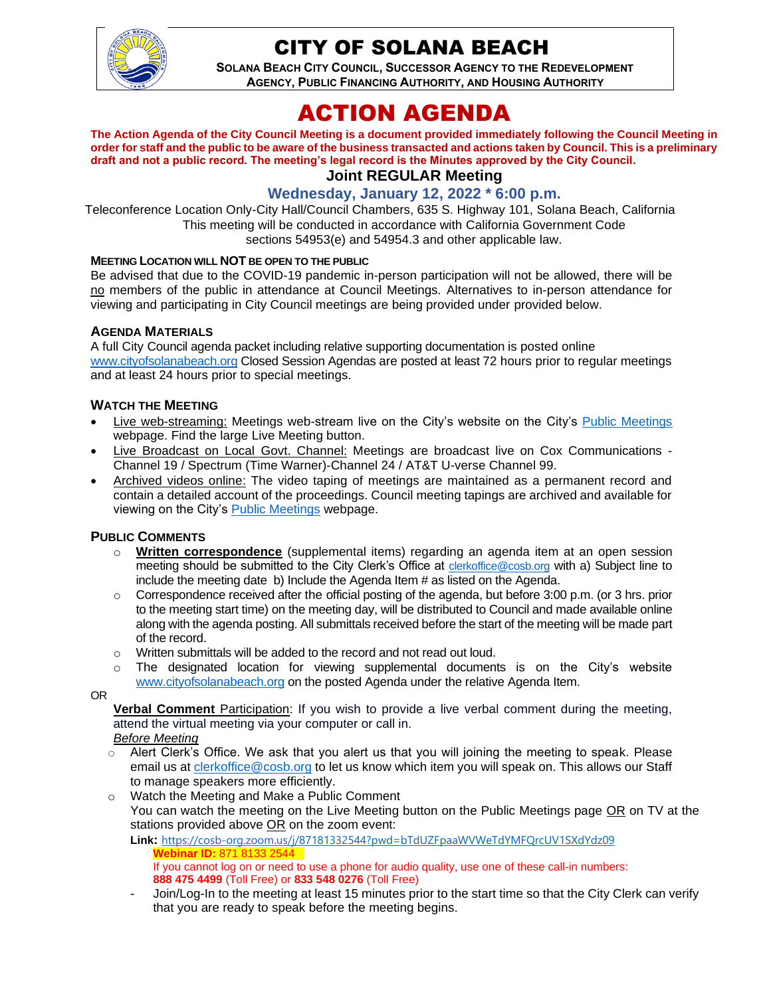

# CITY OF SOLANA BEACH

**SOLANA BEACH CITY COUNCIL, SUCCESSOR AGENCY TO THE REDEVELOPMENT AGENCY, PUBLIC FINANCING AUTHORITY, AND HOUSING AUTHORITY** 

# ACTION AGENDA

**The Action Agenda of the City Council Meeting is a document provided immediately following the Council Meeting in order for staff and the public to be aware of the business transacted and actions taken by Council. This is a preliminary draft and not a public record. The meeting's legal record is the Minutes approved by the City Council. Joint REGULAR Meeting**

## **Wednesday, January 12, 2022 \* 6:00 p.m.**

Teleconference Location Only-City Hall/Council Chambers, 635 S. Highway 101, Solana Beach, California This meeting will be conducted in accordance with California Government Code sections 54953(e) and 54954.3 and other applicable law.

#### **MEETING LOCATION WILL NOT BE OPEN TO THE PUBLIC**

Be advised that due to the COVID-19 pandemic in-person participation will not be allowed, there will be no members of the public in attendance at Council Meetings. Alternatives to in-person attendance for viewing and participating in City Council meetings are being provided under provided below.

#### **AGENDA MATERIALS**

A full City Council agenda packet including relative supporting documentation is posted online [www.cityofsolanabeach.org](http://www.cityofsolanabeach.org/) Closed Session Agendas are posted at least 72 hours prior to regular meetings and at least 24 hours prior to special meetings.

#### **WATCH THE MEETING**

- Live web-streaming: Meetings web-stream live on the City's website on the City's [Public Meetings](https://urldefense.proofpoint.com/v2/url?u=https-3A__www.ci.solana-2Dbeach.ca.us_index.asp-3FSEC-3DF0F1200D-2D21C6-2D4A88-2D8AE1-2D0BC07C1A81A7-26Type-3DB-5FBASIC&d=DwMFAg&c=euGZstcaTDllvimEN8b7jXrwqOf-v5A_CdpgnVfiiMM&r=1XAsCUuqwK_tji2t0s1uIQ&m=wny2RVfZJ2tN24LkqZmkUWNpwL_peNtTZUBlTBZiMM4&s=WwpcEQpHHkFen6nS6q2waMuQ_VMZ-i1YZ60lD-dYRRE&e=) webpage. Find the large Live Meeting button.
- Live Broadcast on Local Govt. Channel: Meetings are broadcast live on Cox Communications Channel 19 / Spectrum (Time Warner)-Channel 24 / AT&T U-verse Channel 99.
- Archived videos online: The video taping of meetings are maintained as a permanent record and contain a detailed account of the proceedings. Council meeting tapings are archived and available for viewing on the City's [Public Meetings](https://urldefense.proofpoint.com/v2/url?u=https-3A__www.ci.solana-2Dbeach.ca.us_index.asp-3FSEC-3DF0F1200D-2D21C6-2D4A88-2D8AE1-2D0BC07C1A81A7-26Type-3DB-5FBASIC&d=DwMFAg&c=euGZstcaTDllvimEN8b7jXrwqOf-v5A_CdpgnVfiiMM&r=1XAsCUuqwK_tji2t0s1uIQ&m=wny2RVfZJ2tN24LkqZmkUWNpwL_peNtTZUBlTBZiMM4&s=WwpcEQpHHkFen6nS6q2waMuQ_VMZ-i1YZ60lD-dYRRE&e=) webpage.

#### **PUBLIC COMMENTS**

- o **Written correspondence** (supplemental items) regarding an agenda item at an open session meeting should be submitted to the City Clerk's Office at [clerkoffice@cosb.org](mailto:clerkoffice@cosb.org) with a) Subject line to include the meeting date b) Include the Agenda Item # as listed on the Agenda.
- $\circ$  Correspondence received after the official posting of the agenda, but before 3:00 p.m. (or 3 hrs. prior to the meeting start time) on the meeting day, will be distributed to Council and made available online along with the agenda posting. All submittals received before the start of the meeting will be made part of the record.
- o Written submittals will be added to the record and not read out loud.
- $\circ$  The designated location for viewing supplemental documents is on the City's website [www.cityofsolanabeach.org](http://www.cityofsolanabeach.org/) on the posted Agenda under the relative Agenda Item.

OR

**Verbal Comment** Participation: If you wish to provide a live verbal comment during the meeting, attend the virtual meeting via your computer or call in.

#### *Before Meeting*

- $\circ$  Alert Clerk's Office. We ask that you alert us that you will joining the meeting to speak. Please email us at [clerkoffice@cosb.org](mailto:clerkoffice@cosb.org) to let us know which item you will speak on. This allows our Staff to manage speakers more efficiently.
- o Watch the Meeting and Make a Public Comment You can watch the meeting on the Live Meeting button on the Public Meetings page OR on TV at the stations provided above OR on the zoom event:

**Link:** <https://cosb-org.zoom.us/j/87181332544?pwd=bTdUZFpaaWVWeTdYMFQrcUV1SXdYdz09> **Webinar ID: 871 8133 25** 

- If you cannot log on or need to use a phone for audio quality, use one of these call-in numbers: **888 475 4499** (Toll Free) or **833 548 0276** (Toll Free)
- Join/Log-In to the meeting at least 15 minutes prior to the start time so that the City Clerk can verify that you are ready to speak before the meeting begins.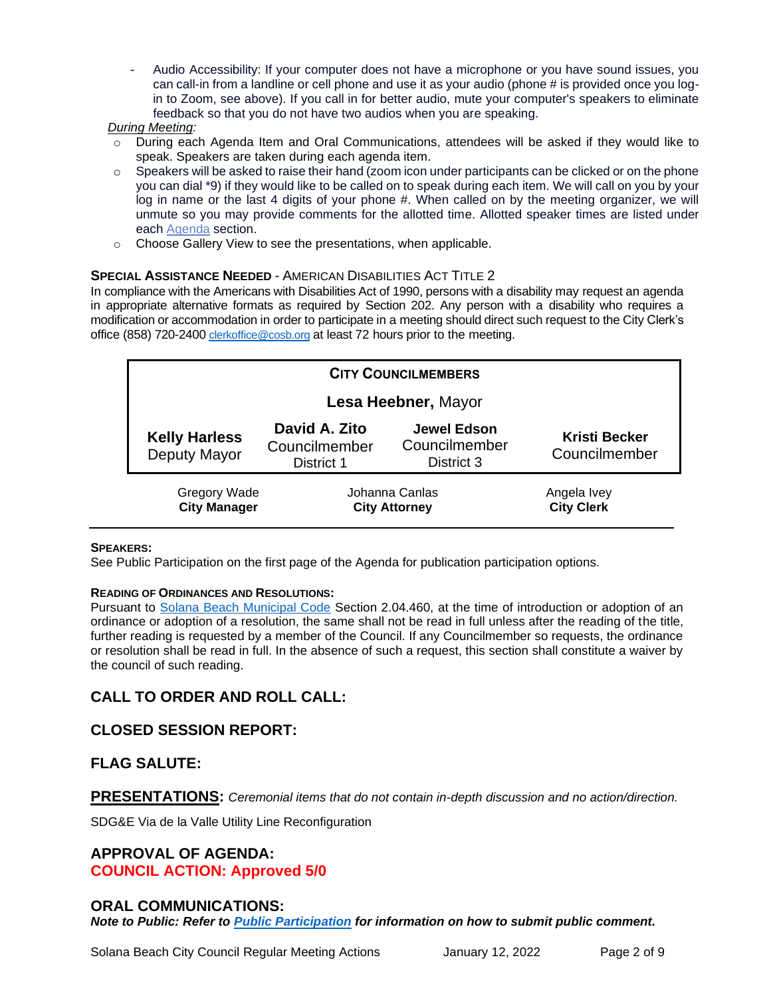- Audio Accessibility: If your computer does not have a microphone or you have sound issues, you can call-in from a landline or cell phone and use it as your audio (phone # is provided once you login to Zoom, see above). If you call in for better audio, mute your computer's speakers to eliminate feedback so that you do not have two audios when you are speaking.

#### *During Meeting:*

- During each Agenda Item and Oral Communications, attendees will be asked if they would like to speak. Speakers are taken during each agenda item.
- $\circ$  Speakers will be asked to raise their hand (zoom icon under participants can be clicked or on the phone you can dial \*9) if they would like to be called on to speak during each item. We will call on you by your log in name or the last 4 digits of your phone #. When called on by the meeting organizer, we will unmute so you may provide comments for the allotted time. Allotted speaker times are listed under each [Agenda](https://urldefense.proofpoint.com/v2/url?u=https-3A__www.ci.solana-2Dbeach.ca.us_index.asp-3FSEC-3DF0F1200D-2D21C6-2D4A88-2D8AE1-2D0BC07C1A81A7-26Type-3DB-5FBASIC&d=DwMFaQ&c=euGZstcaTDllvimEN8b7jXrwqOf-v5A_CdpgnVfiiMM&r=1XAsCUuqwK_tji2t0s1uIQ&m=C7WzXfOw2_nkEFMJClT55zZsF4tmIf_7KTn0o1WpYqI&s=3DcsWExM2_nx_xpvFtXslUjphiXd0MDCCF18y_Qy5yU&e=) section.
- o Choose Gallery View to see the presentations, when applicable.

#### **SPECIAL ASSISTANCE NEEDED - AMERICAN DISABILITIES ACT TITLE 2**

In compliance with the Americans with Disabilities Act of 1990, persons with a disability may request an agenda in appropriate alternative formats as required by Section 202. Any person with a disability who requires a modification or accommodation in order to participate in a meeting should direct such request to the City Clerk's office (858) 720-2400 [clerkoffice@cosb.org](mailto:EMAILGRP-CityClerksOfc@cosb.org) at least 72 hours prior to the meeting.

| <b>CITY COUNCILMEMBERS</b>                 |                                              |                                                   |                                       |
|--------------------------------------------|----------------------------------------------|---------------------------------------------------|---------------------------------------|
| Lesa Heebner, Mayor                        |                                              |                                                   |                                       |
| <b>Kelly Harless</b><br>Deputy Mayor       | David A. Zito<br>Councilmember<br>District 1 | <b>Jewel Edson</b><br>Councilmember<br>District 3 | <b>Kristi Becker</b><br>Councilmember |
| <b>Gregory Wade</b><br><b>City Manager</b> | Johanna Canlas<br><b>City Attorney</b>       |                                                   | Angela Ivey<br><b>City Clerk</b>      |

#### **SPEAKERS:**

See Public Participation on the first page of the Agenda for publication participation options.

#### **READING OF ORDINANCES AND RESOLUTIONS:**

Pursuant to [Solana Beach Municipal Code](https://www.codepublishing.com/CA/SolanaBeach/) Section 2.04.460, at the time of introduction or adoption of an ordinance or adoption of a resolution, the same shall not be read in full unless after the reading of the title, further reading is requested by a member of the Council. If any Councilmember so requests, the ordinance or resolution shall be read in full. In the absence of such a request, this section shall constitute a waiver by the council of such reading.

## **CALL TO ORDER AND ROLL CALL:**

## **CLOSED SESSION REPORT:**

#### **FLAG SALUTE:**

**PRESENTATIONS:** *Ceremonial items that do not contain in-depth discussion and no action/direction.* 

SDG&E Via de la Valle Utility Line Reconfiguration

#### **APPROVAL OF AGENDA: COUNCIL ACTION: Approved 5/0**

#### **ORAL COMMUNICATIONS:**

*Note to Public: Refer to Public Participation for information on how to submit public comment.*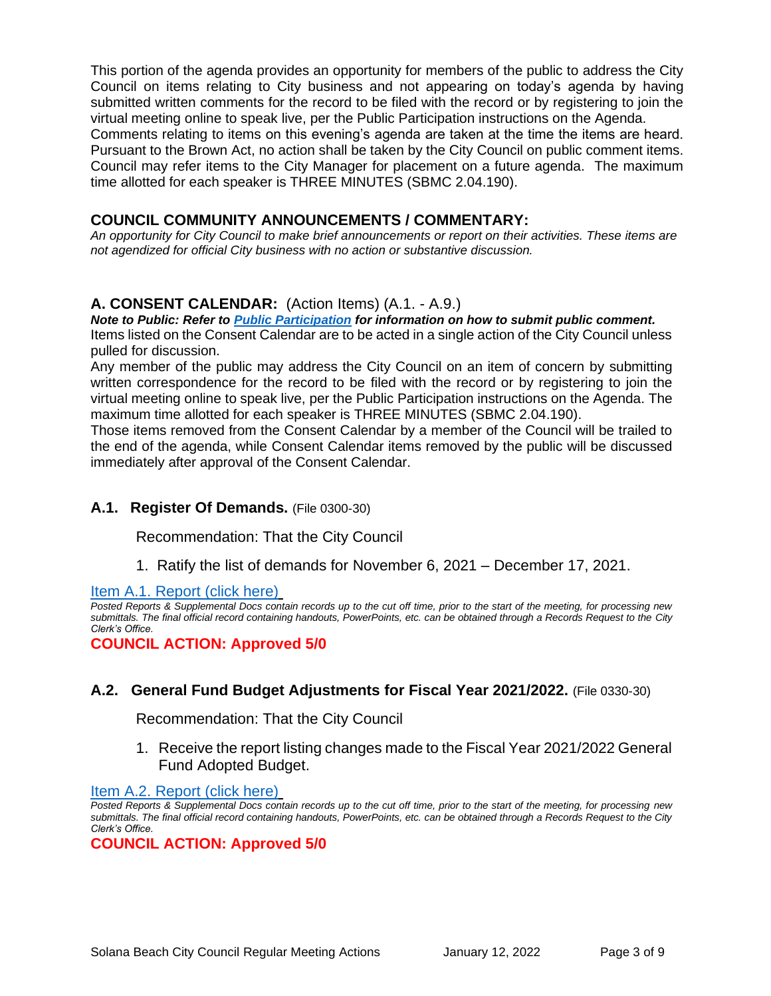This portion of the agenda provides an opportunity for members of the public to address the City Council on items relating to City business and not appearing on today's agenda by having submitted written comments for the record to be filed with the record or by registering to join the virtual meeting online to speak live, per the Public Participation instructions on the Agenda. Comments relating to items on this evening's agenda are taken at the time the items are heard. Pursuant to the Brown Act, no action shall be taken by the City Council on public comment items. Council may refer items to the City Manager for placement on a future agenda. The maximum time allotted for each speaker is THREE MINUTES (SBMC 2.04.190).

### **COUNCIL COMMUNITY ANNOUNCEMENTS / COMMENTARY:**

*An opportunity for City Council to make brief announcements or report on their activities. These items are not agendized for official City business with no action or substantive discussion.* 

## **A. CONSENT CALENDAR:** (Action Items) (A.1. - A.9.)

*Note to Public: Refer to Public Participation for information on how to submit public comment.*  Items listed on the Consent Calendar are to be acted in a single action of the City Council unless pulled for discussion.

Any member of the public may address the City Council on an item of concern by submitting written correspondence for the record to be filed with the record or by registering to join the virtual meeting online to speak live, per the Public Participation instructions on the Agenda. The maximum time allotted for each speaker is THREE MINUTES (SBMC 2.04.190).

Those items removed from the Consent Calendar by a member of the Council will be trailed to the end of the agenda, while Consent Calendar items removed by the public will be discussed immediately after approval of the Consent Calendar.

## **A.1. Register Of Demands.** (File 0300-30)

Recommendation: That the City Council

1. Ratify the list of demands for November 6, 2021 – December 17, 2021.

[Item A.1. Report \(click here\)](https://solanabeach.govoffice3.com/vertical/Sites/%7B840804C2-F869-4904-9AE3-720581350CE7%7D/uploads/Item_A.1._Report_(click_here)_01-12-22_-_O.pdf)

*Posted Reports & Supplemental Docs contain records up to the cut off time, prior to the start of the meeting, for processing new submittals. The final official record containing handouts, PowerPoints, etc. can be obtained through a Records Request to the City Clerk's Office.*

**COUNCIL ACTION: Approved 5/0**

## **A.2. General Fund Budget Adjustments for Fiscal Year 2021/2022.** (File 0330-30)

Recommendation: That the City Council

1. Receive the report listing changes made to the Fiscal Year 2021/2022 General Fund Adopted Budget.

[Item A.2. Report \(click here\)](https://solanabeach.govoffice3.com/vertical/Sites/%7B840804C2-F869-4904-9AE3-720581350CE7%7D/uploads/Item_A.2._Report_(click_here)_01-12-22_-_O.pdf)

*Posted Reports & Supplemental Docs contain records up to the cut off time, prior to the start of the meeting, for processing new submittals. The final official record containing handouts, PowerPoints, etc. can be obtained through a Records Request to the City Clerk's Office.*

**COUNCIL ACTION: Approved 5/0**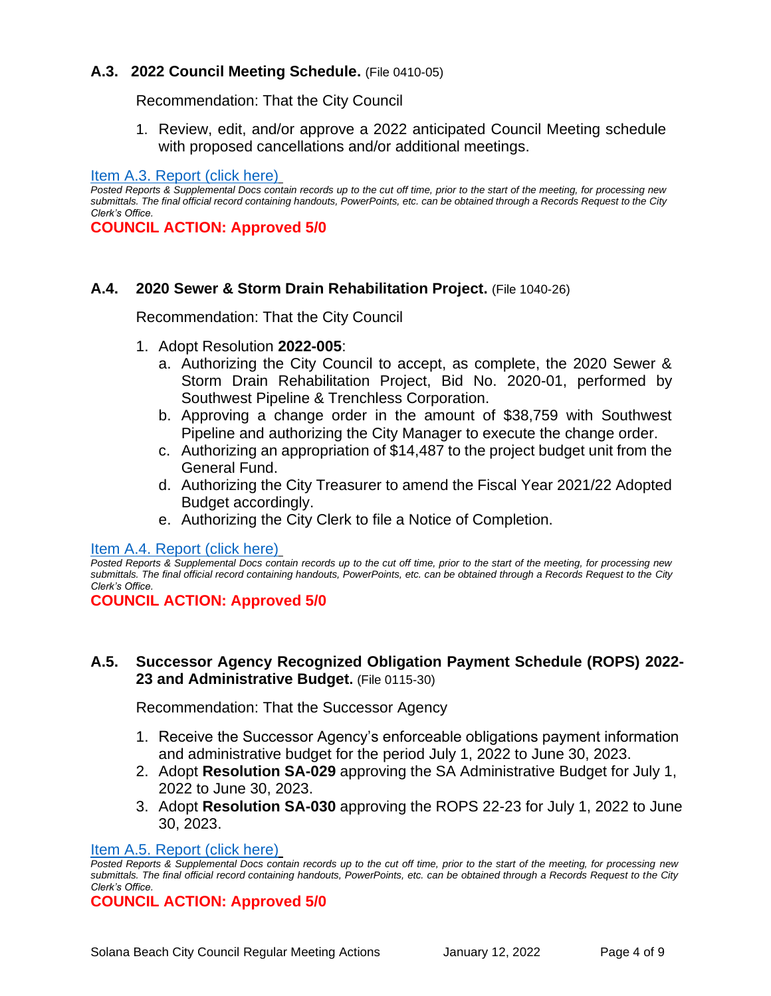## **A.3. 2022 Council Meeting Schedule.** (File 0410-05)

Recommendation: That the City Council

1. Review, edit, and/or approve a 2022 anticipated Council Meeting schedule with proposed cancellations and/or additional meetings.

[Item A.3. Report \(click here\)](https://solanabeach.govoffice3.com/vertical/Sites/%7B840804C2-F869-4904-9AE3-720581350CE7%7D/uploads/Item_A.3._Report_(click_here)_01-12-22_-_O.pdf)

*Posted Reports & Supplemental Docs contain records up to the cut off time, prior to the start of the meeting, for processing new submittals. The final official record containing handouts, PowerPoints, etc. can be obtained through a Records Request to the City Clerk's Office.*

**COUNCIL ACTION: Approved 5/0**

#### **A.4. 2020 Sewer & Storm Drain Rehabilitation Project.** (File 1040-26)

Recommendation: That the City Council

- 1. Adopt Resolution **2022-005**:
	- a. Authorizing the City Council to accept, as complete, the 2020 Sewer & Storm Drain Rehabilitation Project, Bid No. 2020-01, performed by Southwest Pipeline & Trenchless Corporation.
	- b. Approving a change order in the amount of \$38,759 with Southwest Pipeline and authorizing the City Manager to execute the change order.
	- c. Authorizing an appropriation of \$14,487 to the project budget unit from the General Fund.
	- d. Authorizing the City Treasurer to amend the Fiscal Year 2021/22 Adopted Budget accordingly.
	- e. Authorizing the City Clerk to file a Notice of Completion.

[Item A.4. Report \(click here\)](https://solanabeach.govoffice3.com/vertical/Sites/%7B840804C2-F869-4904-9AE3-720581350CE7%7D/uploads/Item_A.4._Report_(click_here)_01-12-22_-_O.pdf)

*Posted Reports & Supplemental Docs contain records up to the cut off time, prior to the start of the meeting, for processing new submittals. The final official record containing handouts, PowerPoints, etc. can be obtained through a Records Request to the City Clerk's Office.*

#### **COUNCIL ACTION: Approved 5/0**

#### **A.5. Successor Agency Recognized Obligation Payment Schedule (ROPS) 2022- 23 and Administrative Budget.** (File 0115-30)

Recommendation: That the Successor Agency

- 1. Receive the Successor Agency's enforceable obligations payment information and administrative budget for the period July 1, 2022 to June 30, 2023.
- 2. Adopt **Resolution SA-029** approving the SA Administrative Budget for July 1, 2022 to June 30, 2023.
- 3. Adopt **Resolution SA-030** approving the ROPS 22-23 for July 1, 2022 to June 30, 2023.

#### [Item A.5. Report \(click here\)](https://solanabeach.govoffice3.com/vertical/Sites/%7B840804C2-F869-4904-9AE3-720581350CE7%7D/uploads/Item_A.5._Report_(click_here)_01-12-22_-_O(1).pdf)

*Posted Reports & Supplemental Docs contain records up to the cut off time, prior to the start of the meeting, for processing new submittals. The final official record containing handouts, PowerPoints, etc. can be obtained through a Records Request to the City Clerk's Office.*

**COUNCIL ACTION: Approved 5/0**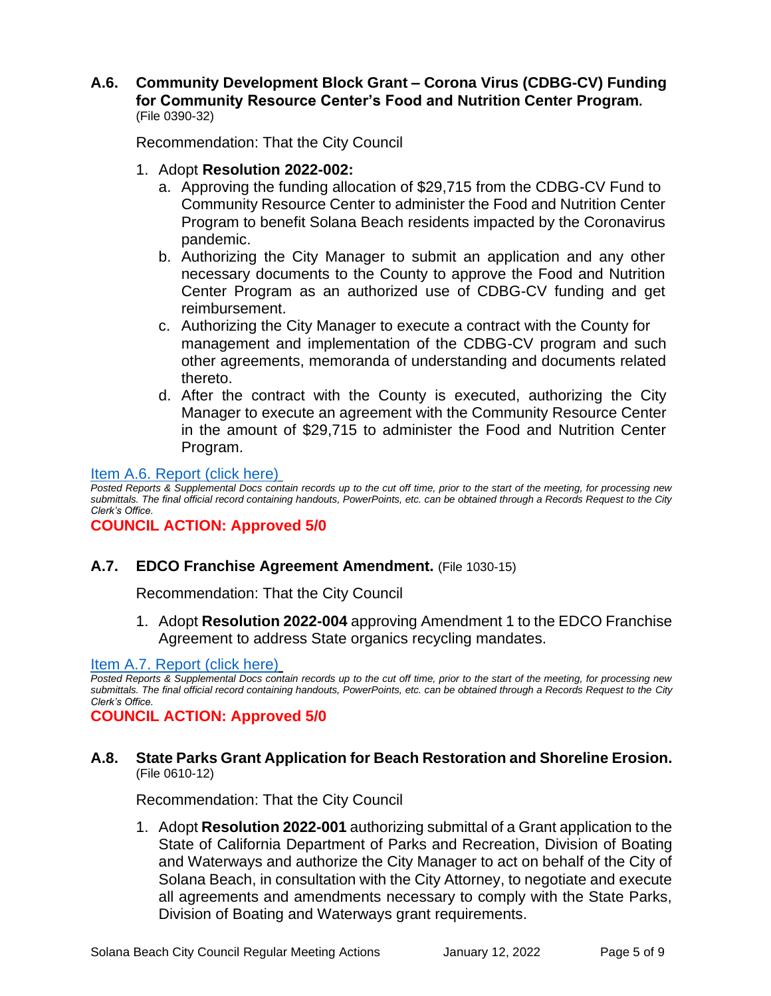### **A.6. Community Development Block Grant – Corona Virus (CDBG-CV) Funding for Community Resource Center's Food and Nutrition Center Program.** (File 0390-32)

Recommendation: That the City Council

- 1. Adopt **Resolution 2022-002:**
	- a. Approving the funding allocation of \$29,715 from the CDBG-CV Fund to Community Resource Center to administer the Food and Nutrition Center Program to benefit Solana Beach residents impacted by the Coronavirus pandemic.
	- b. Authorizing the City Manager to submit an application and any other necessary documents to the County to approve the Food and Nutrition Center Program as an authorized use of CDBG-CV funding and get reimbursement.
	- c. Authorizing the City Manager to execute a contract with the County for management and implementation of the CDBG-CV program and such other agreements, memoranda of understanding and documents related thereto.
	- d. After the contract with the County is executed, authorizing the City Manager to execute an agreement with the Community Resource Center in the amount of \$29,715 to administer the Food and Nutrition Center [Program.](https://solanabeach.govoffice3.com/vertical/Sites/%7B840804C2-F869-4904-9AE3-720581350CE7%7D/uploads/Item_A.6._Report_(click_here)_01-12-22_-_O.pdf)

### [Item A.6. Report \(click here\)](https://solanabeach.govoffice3.com/vertical/Sites/%7B840804C2-F869-4904-9AE3-720581350CE7%7D/uploads/Item_A.6._Report_(click_here)_01-12-22_-_O.pdf)

*Posted Reports & Supplemental Docs contain records up to the cut off time, prior to the start of the meeting, for processing new submittals. The final official record containing handouts, PowerPoints, etc. can be obtained through a Records Request to the City Clerk's Office.*

**COUNCIL ACTION: Approved 5/0**

## **A.7. EDCO Franchise Agreement Amendment.** (File 1030-15)

Recommendation: That the City Council

1. Adopt **Resolution 2022-004** approving Amendment 1 to the EDCO Franchise Agreement to address State organics recycling mandates.

#### [Item A.7. Report \(click here\)](https://solanabeach.govoffice3.com/vertical/Sites/%7B840804C2-F869-4904-9AE3-720581350CE7%7D/uploads/Item_A.7._Report_(click_here)_01-12-22_-_O.pdf)

*Posted Reports & Supplemental Docs contain records up to the cut off time, prior to the start of the meeting, for processing new submittals. The final official record containing handouts, PowerPoints, etc. can be obtained through a Records Request to the City Clerk's Office.*

**COUNCIL ACTION: Approved 5/0**

### **A.8. State Parks Grant Application for Beach Restoration and Shoreline Erosion.** (File 0610-12)

Recommendation: That the City Council

1. Adopt **Resolution 2022-001** authorizing submittal of a Grant application to the State of California Department of Parks and Recreation, Division of Boating and Waterways and authorize the City Manager to act on behalf of the City of Solana Beach, in consultation with the City Attorney, to negotiate and execute all agreements and amendments necessary to comply with the State Parks, Division of Boating and Waterways grant requirements.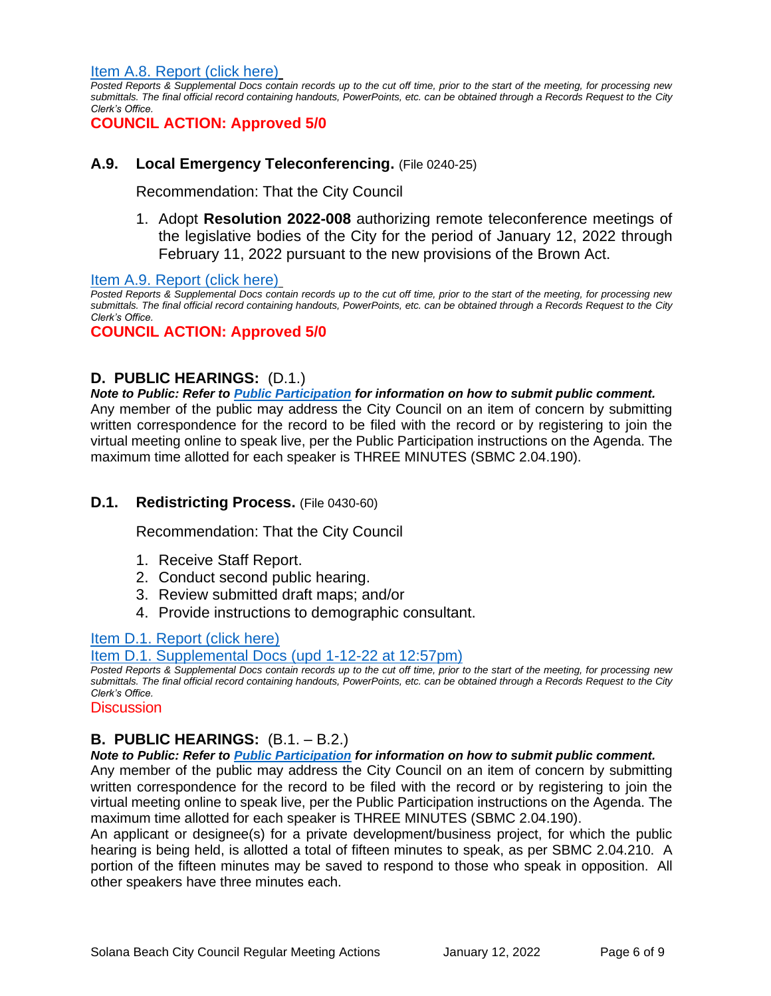[Item A.8. Report \(click here\)](https://solanabeach.govoffice3.com/vertical/Sites/%7B840804C2-F869-4904-9AE3-720581350CE7%7D/uploads/Item_A.8._Report_(click_here)_01-12-22_-_O.pdf)

*Posted Reports & Supplemental Docs contain records up to the cut off time, prior to the start of the meeting, for processing new submittals. The final official record containing handouts, PowerPoints, etc. can be obtained through a Records Request to the City Clerk's Office.*

**COUNCIL ACTION: Approved 5/0**

### **A.9. Local Emergency Teleconferencing.** (File 0240-25)

Recommendation: That the City Council

1. Adopt **Resolution 2022-008** authorizing remote teleconference meetings of the legislative bodies of the City for the period of January 12, 2022 through February 11, 2022 pursuant to the new provisions of the Brown Act.

[Item A.9. Report \(click here\)](https://solanabeach.govoffice3.com/vertical/Sites/%7B840804C2-F869-4904-9AE3-720581350CE7%7D/uploads/Item_A.9._Report_(click_here)_01-12-22_-_O.pdf)

*Posted Reports & Supplemental Docs contain records up to the cut off time, prior to the start of the meeting, for processing new submittals. The final official record containing handouts, PowerPoints, etc. can be obtained through a Records Request to the City Clerk's Office.*

### **COUNCIL ACTION: Approved 5/0**

### **D. PUBLIC HEARINGS:** (D.1.)

*Note to Public: Refer to Public Participation for information on how to submit public comment.*  Any member of the public may address the City Council on an item of concern by submitting written correspondence for the record to be filed with the record or by registering to join the virtual meeting online to speak live, per the Public Participation instructions on the Agenda. The maximum time allotted for each speaker is THREE MINUTES (SBMC 2.04.190).

#### **D.1. Redistricting Process.** (File 0430-60)

Recommendation: That the City Council

- 1. Receive Staff Report.
- 2. Conduct second public hearing.
- 3. Review submitted draft maps; and/or
- 4. Provide instructions to demographic consultant.

#### [Item D.1. Report \(click here\)](https://solanabeach.govoffice3.com/vertical/Sites/%7B840804C2-F869-4904-9AE3-720581350CE7%7D/uploads/Item_D.1._Report_(click_here)_01-12-22_-_O.pdf)

[Item D.1. Supplemental Docs \(upd 1-12-22](https://solanabeach.govoffice3.com/vertical/Sites/%7B840804C2-F869-4904-9AE3-720581350CE7%7D/uploads/Item_D.1._Supplemental_Docs_(upd_1-12_at_1257pm).pdf) at 12:57pm)

*Posted Reports & Supplemental Docs contain records up to the cut off time, prior to the start of the meeting, for processing new submittals. The final official record containing handouts, PowerPoints, etc. can be obtained through a Records Request to the City Clerk's Office.*

#### **Discussion**

## **B. PUBLIC HEARINGS:** (B.1. – B.2.)

*Note to Public: Refer to Public Participation for information on how to submit public comment.* 

Any member of the public may address the City Council on an item of concern by submitting written correspondence for the record to be filed with the record or by registering to join the virtual meeting online to speak live, per the Public Participation instructions on the Agenda. The maximum time allotted for each speaker is THREE MINUTES (SBMC 2.04.190).

An applicant or designee(s) for a private development/business project, for which the public hearing is being held, is allotted a total of fifteen minutes to speak, as per SBMC 2.04.210. A portion of the fifteen minutes may be saved to respond to those who speak in opposition. All other speakers have three minutes each.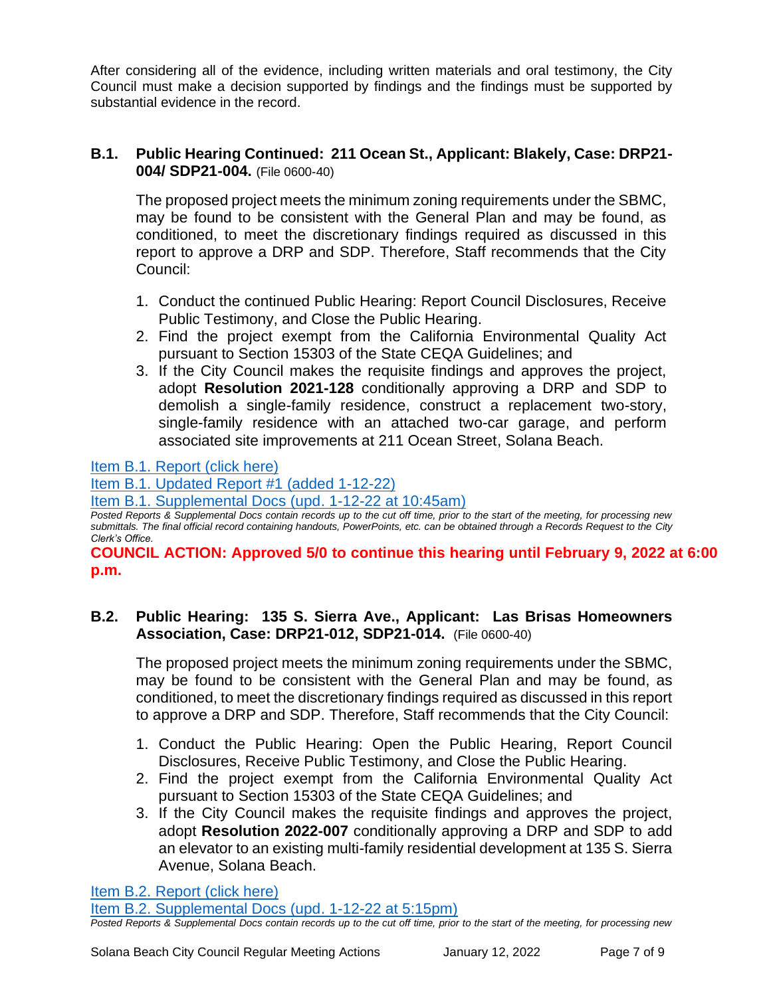After considering all of the evidence, including written materials and oral testimony, the City Council must make a decision supported by findings and the findings must be supported by substantial evidence in the record.

## **B.1. Public Hearing Continued: 211 Ocean St., Applicant: Blakely, Case: DRP21- 004/ SDP21-004.** (File 0600-40)

The proposed project meets the minimum zoning requirements under the SBMC, may be found to be consistent with the General Plan and may be found, as conditioned, to meet the discretionary findings required as discussed in this report to approve a DRP and SDP. Therefore, Staff recommends that the City Council:

- 1. Conduct the continued Public Hearing: Report Council Disclosures, Receive Public Testimony, and Close the Public Hearing.
- 2. Find the project exempt from the California Environmental Quality Act pursuant to Section 15303 of the State CEQA Guidelines; and
- 3. If the City Council makes the requisite findings and approves the project, adopt **Resolution 2021-128** conditionally approving a DRP and SDP to demolish a single-family residence, construct a replacement two-story, single-family residence with an attached two-car garage, and perform associated site improvements at 211 Ocean Street, Solana Beach.

## [Item B.1. Report \(click here\)](https://solanabeach.govoffice3.com/vertical/Sites/%7B840804C2-F869-4904-9AE3-720581350CE7%7D/uploads/Item_B.1._Report_(click_here)_01-12-22_-_O.pdf)

[Item B.1. Updated Report #1 \(added 1-12-22\)](https://solanabeach.govoffice3.com/vertical/Sites/%7B840804C2-F869-4904-9AE3-720581350CE7%7D/uploads/Item_B.1._Updated_Report_1_-_1-12-22_(845am).pdf)

[Item B.1. Supplemental Docs \(upd.](https://solanabeach.govoffice3.com/vertical/Sites/%7B840804C2-F869-4904-9AE3-720581350CE7%7D/uploads/Item_B.1.Supplemental_Docs_(upd_1-12_at_1045am)_-_O.pdf) 1-12-22 at 10:45am)

*Posted Reports & Supplemental Docs contain records up to the cut off time, prior to the start of the meeting, for processing new submittals. The final official record containing handouts, PowerPoints, etc. can be obtained through a Records Request to the City Clerk's Office.*

**COUNCIL ACTION: Approved 5/0 to continue this hearing until February 9, 2022 at 6:00 p.m.** 

## **B.2. Public Hearing: 135 S. Sierra Ave., Applicant: Las Brisas Homeowners Association, Case: DRP21-012, SDP21-014.** (File 0600-40)

The proposed project meets the minimum zoning requirements under the SBMC, may be found to be consistent with the General Plan and may be found, as conditioned, to meet the discretionary findings required as discussed in this report to approve a DRP and SDP. Therefore, Staff recommends that the City Council:

- 1. Conduct the Public Hearing: Open the Public Hearing, Report Council Disclosures, Receive Public Testimony, and Close the Public Hearing.
- 2. Find the project exempt from the California Environmental Quality Act pursuant to Section 15303 of the State CEQA Guidelines; and
- 3. If the City Council makes the requisite findings and approves the project, adopt **Resolution 2022-007** conditionally approving a DRP and SDP to add an elevator to an existing multi-family residential development at 135 S. Sierra Avenue, Solana Beach.

[Item B.2. Report \(click here\)](https://solanabeach.govoffice3.com/vertical/Sites/%7B840804C2-F869-4904-9AE3-720581350CE7%7D/uploads/Item_B.2._Report_(click_here)_01-12-22_-_O.pdf)

[Item B.2. Supplemental Docs \(upd.](https://solanabeach.govoffice3.com/vertical/Sites/%7B840804C2-F869-4904-9AE3-720581350CE7%7D/uploads/Item_B.2._Supplemental_Docs_(upd._1-12-22_515pm)_-_O.pdf) 1-12-22 at 5:15pm)

*Posted Reports & Supplemental Docs contain records up to the cut off time, prior to the start of the meeting, for processing new*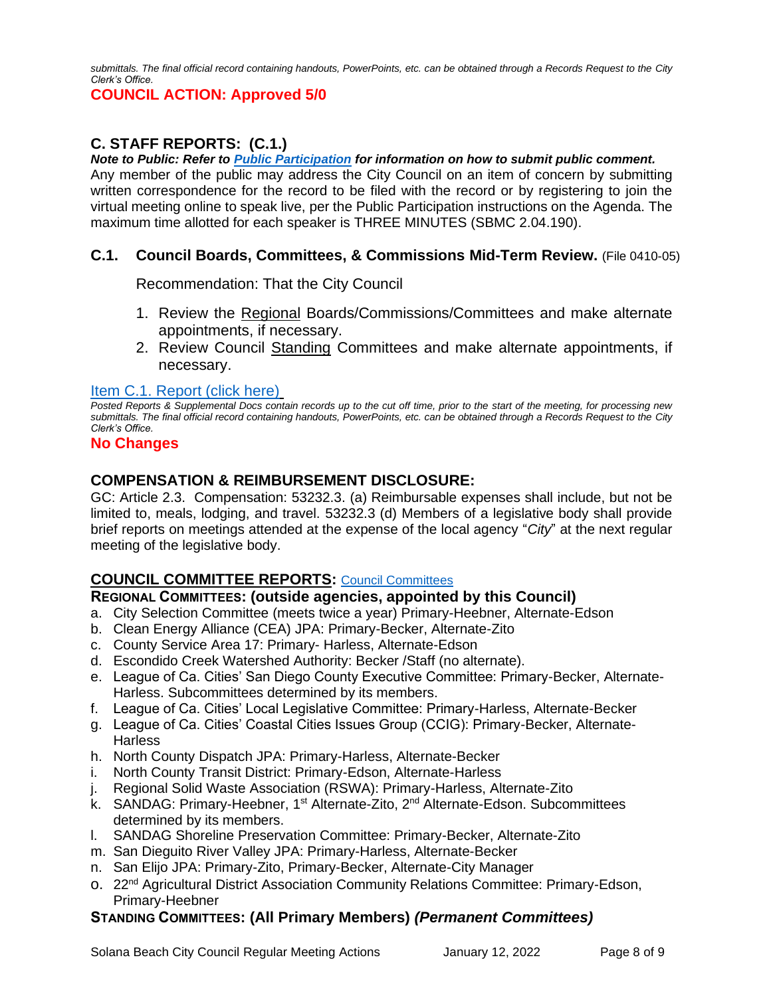*submittals. The final official record containing handouts, PowerPoints, etc. can be obtained through a Records Request to the City Clerk's Office.*

### **COUNCIL ACTION: Approved 5/0**

## **C. STAFF REPORTS: (C.1.)**

*Note to Public: Refer to Public Participation for information on how to submit public comment.*  Any member of the public may address the City Council on an item of concern by submitting written correspondence for the record to be filed with the record or by registering to join the virtual meeting online to speak live, per the Public Participation instructions on the Agenda. The maximum time allotted for each speaker is THREE MINUTES (SBMC 2.04.190).

## **C.1. Council Boards, Committees, & Commissions Mid-Term Review.** (File 0410-05)

Recommendation: That the City Council

- 1. Review the Regional Boards/Commissions/Committees and make alternate appointments, if necessary.
- 2. Review Council Standing Committees and make alternate appointments, if necessary.

## [Item C.1. Report \(click here\)](https://solanabeach.govoffice3.com/vertical/Sites/%7B840804C2-F869-4904-9AE3-720581350CE7%7D/uploads/Item_C.1._Report_(click_here)_01-12-22_-_O.pdf)

*Posted Reports & Supplemental Docs contain records up to the cut off time, prior to the start of the meeting, for processing new submittals. The final official record containing handouts, PowerPoints, etc. can be obtained through a Records Request to the City Clerk's Office.*

#### **No Changes**

### **COMPENSATION & REIMBURSEMENT DISCLOSURE:**

GC: Article 2.3. Compensation: 53232.3. (a) Reimbursable expenses shall include, but not be limited to, meals, lodging, and travel. 53232.3 (d) Members of a legislative body shall provide brief reports on meetings attended at the expense of the local agency "*City*" at the next regular meeting of the legislative body.

## **COUNCIL COMMITTEE REPORTS:** [Council Committees](https://www.ci.solana-beach.ca.us/index.asp?SEC=584E1192-3850-46EA-B977-088AC3E81E0D&Type=B_BASIC)

#### **REGIONAL COMMITTEES: (outside agencies, appointed by this Council)**

- a. City Selection Committee (meets twice a year) Primary-Heebner, Alternate-Edson
- b. Clean Energy Alliance (CEA) JPA: Primary-Becker, Alternate-Zito
- c. County Service Area 17: Primary- Harless, Alternate-Edson
- d. Escondido Creek Watershed Authority: Becker /Staff (no alternate).
- e. League of Ca. Cities' San Diego County Executive Committee: Primary-Becker, Alternate-Harless. Subcommittees determined by its members.
- f. League of Ca. Cities' Local Legislative Committee: Primary-Harless, Alternate-Becker
- g. League of Ca. Cities' Coastal Cities Issues Group (CCIG): Primary-Becker, Alternate-**Harless**
- h. North County Dispatch JPA: Primary-Harless, Alternate-Becker
- i. North County Transit District: Primary-Edson, Alternate-Harless
- j. Regional Solid Waste Association (RSWA): Primary-Harless, Alternate-Zito
- k. SANDAG: Primary-Heebner, 1<sup>st</sup> Alternate-Zito, 2<sup>nd</sup> Alternate-Edson. Subcommittees determined by its members.
- l. SANDAG Shoreline Preservation Committee: Primary-Becker, Alternate-Zito
- m. San Dieguito River Valley JPA: Primary-Harless, Alternate-Becker
- n. San Elijo JPA: Primary-Zito, Primary-Becker, Alternate-City Manager
- o. 22nd Agricultural District Association Community Relations Committee: Primary-Edson, Primary-Heebner

#### **STANDING COMMITTEES: (All Primary Members)** *(Permanent Committees)*